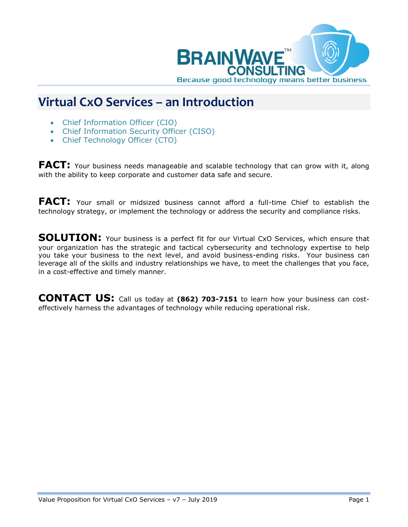

## **Virtual CxO Services – an Introduction**

- Chief Information Officer (CIO)
- Chief Information Security Officer (CISO)
- Chief Technology Officer (CTO)

**FACT:** Your business needs manageable and scalable technology that can grow with it, along with the ability to keep corporate and customer data safe and secure.

**FACT:** Your small or midsized business cannot afford a full-time Chief to establish the technology strategy, or implement the technology or address the security and compliance risks.

**SOLUTION:** Your business is a perfect fit for our Virtual CxO Services, which ensure that your organization has the strategic and tactical cybersecurity and technology expertise to help you take your business to the next level, and avoid business-ending risks. Your business can leverage all of the skills and industry relationships we have, to meet the challenges that you face, in a cost-effective and timely manner.

**CONTACT US:** Call us today at **(862) 703-7151** to learn how your business can costeffectively harness the advantages of technology while reducing operational risk.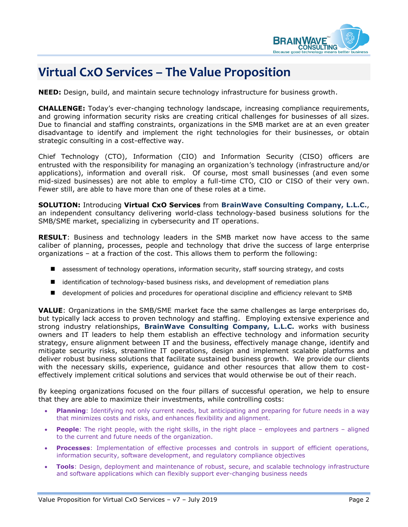

## **Virtual CxO Services – The Value Proposition**

**NEED:** Design, build, and maintain secure technology infrastructure for business growth.

**CHALLENGE:** Today's ever-changing technology landscape, increasing compliance requirements, and growing information security risks are creating critical challenges for businesses of all sizes. Due to financial and staffing constraints, organizations in the SMB market are at an even greater disadvantage to identify and implement the right technologies for their businesses, or obtain strategic consulting in a cost-effective way.

Chief Technology (CTO), Information (CIO) and Information Security (CISO) officers are entrusted with the responsibility for managing an organization's technology (infrastructure and/or applications), information and overall risk. Of course, most small businesses (and even some mid-sized businesses) are not able to employ a full-time CTO, CIO or CISO of their very own. Fewer still, are able to have more than one of these roles at a time.

**SOLUTION:** Introducing **Virtual CxO Services** from **BrainWave Consulting Company, L.L.C.**, an independent consultancy delivering world-class technology-based business solutions for the SMB/SME market, specializing in cybersecurity and IT operations.

**RESULT**: Business and technology leaders in the SMB market now have access to the same caliber of planning, processes, people and technology that drive the success of large enterprise organizations – at a fraction of the cost. This allows them to perform the following:

- assessment of technology operations, information security, staff sourcing strategy, and costs
- **I** identification of technology-based business risks, and development of remediation plans
- development of policies and procedures for operational discipline and efficiency relevant to SMB

**VALUE**: Organizations in the SMB/SME market face the same challenges as large enterprises do, but typically lack access to proven technology and staffing. Employing extensive experience and strong industry relationships, **BrainWave Consulting Company, L.L.C.** works with business owners and IT leaders to help them establish an effective technology and information security strategy, ensure alignment between IT and the business, effectively manage change, identify and mitigate security risks, streamline IT operations, design and implement scalable platforms and deliver robust business solutions that facilitate sustained business growth. We provide our clients with the necessary skills, experience, guidance and other resources that allow them to costeffectively implement critical solutions and services that would otherwise be out of their reach.

By keeping organizations focused on the four pillars of successful operation, we help to ensure that they are able to maximize their investments, while controlling costs:

- **Planning**: Identifying not only current needs, but anticipating and preparing for future needs in a way that minimizes costs and risks, and enhances flexibility and alignment.
- **People**: The right people, with the right skills, in the right place employees and partners aligned to the current and future needs of the organization.
- **Processes**: Implementation of effective processes and controls in support of efficient operations, information security, software development, and regulatory compliance objectives
- **Tools**: Design, deployment and maintenance of robust, secure, and scalable technology infrastructure and software applications which can flexibly support ever-changing business needs